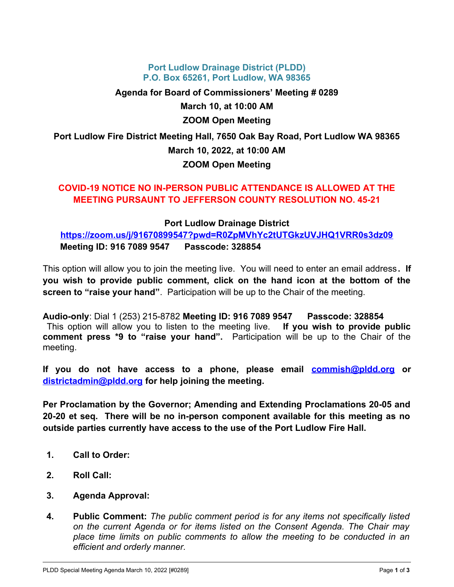#### **Port Ludlow Drainage District (PLDD) P.O. Box 65261, Port Ludlow, WA 98365**

**Agenda for Board of Commissioners' Meeting # 0289 March 10, at 10:00 AM ZOOM Open Meeting Port Ludlow Fire District Meeting Hall, 7650 Oak Bay Road, Port Ludlow WA 98365 March 10, 2022, at 10:00 AM**

# **ZOOM Open Meeting**

## **COVID-19 NOTICE NO IN-PERSON PUBLIC ATTENDANCE IS ALLOWED AT THE MEETING PURSAUNT TO JEFFERSON COUNTY RESOLUTION NO. 45-21**

## **Port Ludlow Drainage District**

**<https://zoom.us/j/91670899547?pwd=R0ZpMVhYc2tUTGkzUVJHQ1VRR0s3dz09> Meeting ID: 916 7089 9547 Passcode: 328854**

This option will allow you to join the meeting live. You will need to enter an email address**. If you wish to provide public comment, click on the hand icon at the bottom of the screen to "raise your hand"**. Participation will be up to the Chair of the meeting.

**Audio-only**: Dial 1 (253) 215-8782 **Meeting ID: 916 7089 9547 Passcode: 328854** This option will allow you to listen to the meeting live. **If you wish to provide public comment press \*9 to "raise your hand".** Participation will be up to the Chair of the meeting.

**If you do not have access to a phone, please email [commish@pldd.org](mailto:commish@pldd.org) or [districtadmin@pldd.org](mailto:districtadmin@pldd.org) for help joining the meeting.**

**Per Proclamation by the Governor; Amending and Extending Proclamations 20-05 and 20-20 et seq. There will be no in-person component available for this meeting as no outside parties currently have access to the use of the Port Ludlow Fire Hall.** 

- **1. Call to Order:**
- **2. Roll Call:**
- **3. Agenda Approval:**
- **4. Public Comment:** *The public comment period is for any items not specifically listed on the current Agenda or for items listed on the Consent Agenda. The Chair may place time limits on public comments to allow the meeting to be conducted in an efficient and orderly manner.*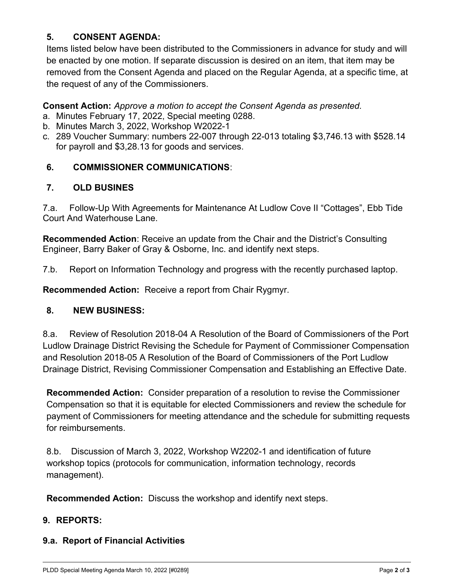## **5. CONSENT AGENDA:**

Items listed below have been distributed to the Commissioners in advance for study and will be enacted by one motion. If separate discussion is desired on an item, that item may be removed from the Consent Agenda and placed on the Regular Agenda, at a specific time, at the request of any of the Commissioners.

**Consent Action:** *Approve a motion to accept the Consent Agenda as presented.*

- a. Minutes February 17, 2022, Special meeting 0288.
- b. Minutes March 3, 2022, Workshop W2022-1
- c. 289 Voucher Summary: numbers 22-007 through 22-013 totaling \$3,746.13 with \$528.14 for payroll and \$3,28.13 for goods and services.

## **6. COMMISSIONER COMMUNICATIONS**:

## **7. OLD BUSINES**

7.a. Follow-Up With Agreements for Maintenance At Ludlow Cove II "Cottages", Ebb Tide Court And Waterhouse Lane.

**Recommended Action**: Receive an update from the Chair and the District's Consulting Engineer, Barry Baker of Gray & Osborne, Inc. and identify next steps.

7.b. Report on Information Technology and progress with the recently purchased laptop.

**Recommended Action:** Receive a report from Chair Rygmyr.

## **8. NEW BUSINESS:**

8.a. Review of Resolution 2018-04 A Resolution of the Board of Commissioners of the Port Ludlow Drainage District Revising the Schedule for Payment of Commissioner Compensation and Resolution 2018-05 A Resolution of the Board of Commissioners of the Port Ludlow Drainage District, Revising Commissioner Compensation and Establishing an Effective Date.

**Recommended Action:** Consider preparation of a resolution to revise the Commissioner Compensation so that it is equitable for elected Commissioners and review the schedule for payment of Commissioners for meeting attendance and the schedule for submitting requests for reimbursements.

8.b. Discussion of March 3, 2022, Workshop W2202-1 and identification of future workshop topics (protocols for communication, information technology, records management).

**Recommended Action:** Discuss the workshop and identify next steps.

## **9. REPORTS:**

## **9.a. Report of Financial Activities**